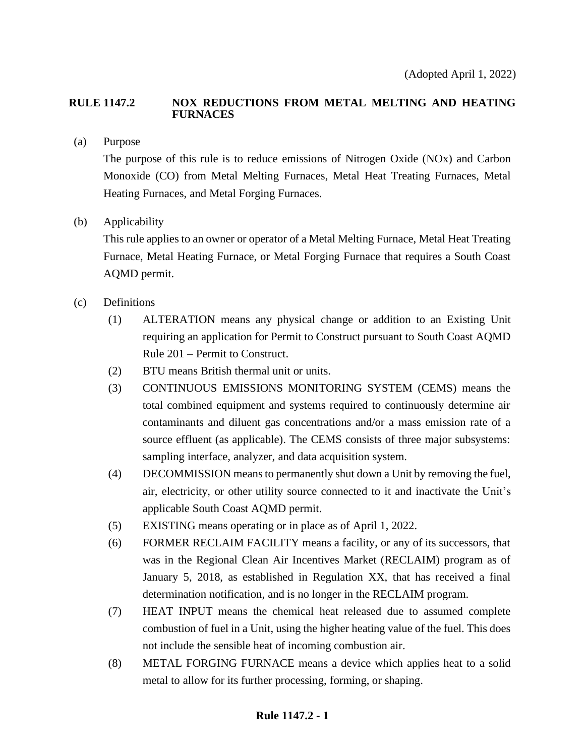### **RULE 1147.2 NOX REDUCTIONS FROM METAL MELTING AND HEATING FURNACES**

(a) Purpose

The purpose of this rule is to reduce emissions of Nitrogen Oxide (NOx) and Carbon Monoxide (CO) from Metal Melting Furnaces, Metal Heat Treating Furnaces, Metal Heating Furnaces, and Metal Forging Furnaces.

(b) Applicability

This rule applies to an owner or operator of a Metal Melting Furnace, Metal Heat Treating Furnace, Metal Heating Furnace, or Metal Forging Furnace that requires a South Coast AQMD permit.

- (c) Definitions
	- (1) ALTERATION means any physical change or addition to an Existing Unit requiring an application for Permit to Construct pursuant to South Coast AQMD Rule 201 – Permit to Construct.
	- (2) BTU means British thermal unit or units.
	- (3) CONTINUOUS EMISSIONS MONITORING SYSTEM (CEMS) means the total combined equipment and systems required to continuously determine air contaminants and diluent gas concentrations and/or a mass emission rate of a source effluent (as applicable). The CEMS consists of three major subsystems: sampling interface, analyzer, and data acquisition system.
	- (4) DECOMMISSION means to permanently shut down a Unit by removing the fuel, air, electricity, or other utility source connected to it and inactivate the Unit's applicable South Coast AQMD permit.
	- (5) EXISTING means operating or in place as of April 1, 2022.
	- (6) FORMER RECLAIM FACILITY means a facility, or any of its successors, that was in the Regional Clean Air Incentives Market (RECLAIM) program as of January 5, 2018, as established in Regulation XX, that has received a final determination notification, and is no longer in the RECLAIM program.
	- (7) HEAT INPUT means the chemical heat released due to assumed complete combustion of fuel in a Unit, using the higher heating value of the fuel. This does not include the sensible heat of incoming combustion air.
	- (8) METAL FORGING FURNACE means a device which applies heat to a solid metal to allow for its further processing, forming, or shaping.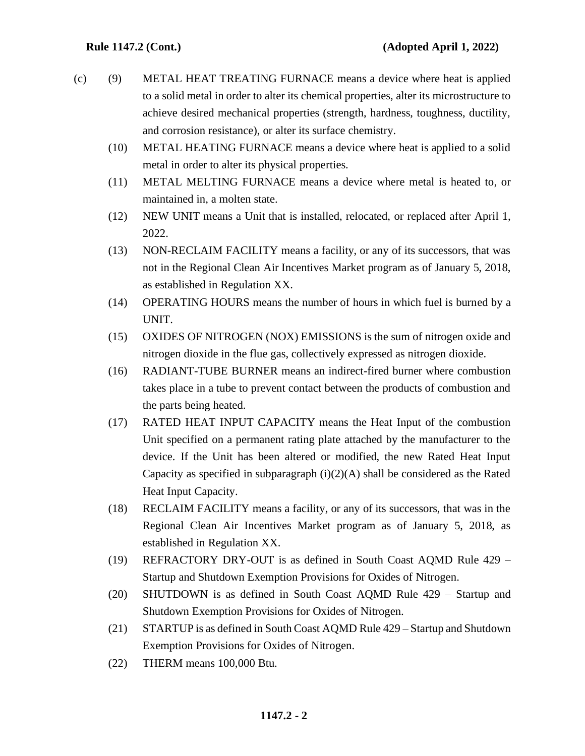- (c) (9) METAL HEAT TREATING FURNACE means a device where heat is applied to a solid metal in order to alter its chemical properties, alter its microstructure to achieve desired mechanical properties (strength, hardness, toughness, ductility, and corrosion resistance), or alter its surface chemistry.
	- (10) METAL HEATING FURNACE means a device where heat is applied to a solid metal in order to alter its physical properties.
	- (11) METAL MELTING FURNACE means a device where metal is heated to, or maintained in, a molten state.
	- (12) NEW UNIT means a Unit that is installed, relocated, or replaced after April 1, 2022.
	- (13) NON-RECLAIM FACILITY means a facility, or any of its successors, that was not in the Regional Clean Air Incentives Market program as of January 5, 2018, as established in Regulation XX.
	- (14) OPERATING HOURS means the number of hours in which fuel is burned by a UNIT.
	- (15) OXIDES OF NITROGEN (NOX) EMISSIONS is the sum of nitrogen oxide and nitrogen dioxide in the flue gas, collectively expressed as nitrogen dioxide.
	- (16) RADIANT-TUBE BURNER means an indirect-fired burner where combustion takes place in a tube to prevent contact between the products of combustion and the parts being heated.
	- (17) RATED HEAT INPUT CAPACITY means the Heat Input of the combustion Unit specified on a permanent rating plate attached by the manufacturer to the device. If the Unit has been altered or modified, the new Rated Heat Input Capacity as specified in subparagraph  $(i)(2)(A)$  shall be considered as the Rated Heat Input Capacity.
	- (18) RECLAIM FACILITY means a facility, or any of its successors, that was in the Regional Clean Air Incentives Market program as of January 5, 2018, as established in Regulation XX.
	- (19) REFRACTORY DRY-OUT is as defined in South Coast AQMD Rule 429 Startup and Shutdown Exemption Provisions for Oxides of Nitrogen.
	- (20) SHUTDOWN is as defined in South Coast AQMD Rule 429 Startup and Shutdown Exemption Provisions for Oxides of Nitrogen.
	- (21) STARTUP is as defined in South Coast AQMD Rule 429 Startup and Shutdown Exemption Provisions for Oxides of Nitrogen.
	- (22) THERM means 100,000 Btu.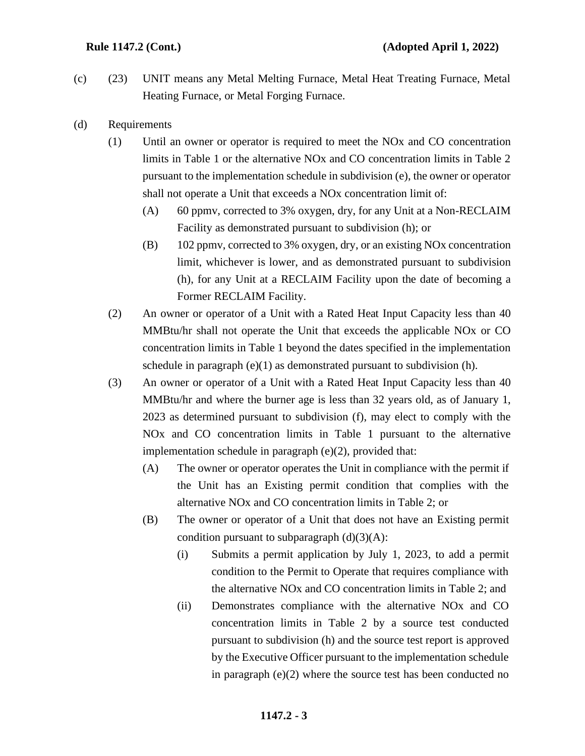- (c) (23) UNIT means any Metal Melting Furnace, Metal Heat Treating Furnace, Metal Heating Furnace, or Metal Forging Furnace.
- (d) Requirements
	- (1) Until an owner or operator is required to meet the NOx and CO concentration limits in Table 1 or the alternative NOx and CO concentration limits in Table 2 pursuant to the implementation schedule in subdivision (e), the owner or operator shall not operate a Unit that exceeds a NOx concentration limit of:
		- (A) 60 ppmv, corrected to 3% oxygen, dry, for any Unit at a Non-RECLAIM Facility as demonstrated pursuant to subdivision (h); or
		- (B) 102 ppmv, corrected to 3% oxygen, dry, or an existing NOx concentration limit, whichever is lower, and as demonstrated pursuant to subdivision (h), for any Unit at a RECLAIM Facility upon the date of becoming a Former RECLAIM Facility.
	- (2) An owner or operator of a Unit with a Rated Heat Input Capacity less than 40 MMBtu/hr shall not operate the Unit that exceeds the applicable NOx or CO concentration limits in Table 1 beyond the dates specified in the implementation schedule in paragraph (e)(1) as demonstrated pursuant to subdivision (h).
	- (3) An owner or operator of a Unit with a Rated Heat Input Capacity less than 40 MMBtu/hr and where the burner age is less than 32 years old, as of January 1, 2023 as determined pursuant to subdivision (f), may elect to comply with the NOx and CO concentration limits in Table 1 pursuant to the alternative implementation schedule in paragraph (e)(2), provided that:
		- (A) The owner or operator operates the Unit in compliance with the permit if the Unit has an Existing permit condition that complies with the alternative NOx and CO concentration limits in Table 2; or
		- (B) The owner or operator of a Unit that does not have an Existing permit condition pursuant to subparagraph  $(d)(3)(A)$ :
			- (i) Submits a permit application by July 1, 2023, to add a permit condition to the Permit to Operate that requires compliance with the alternative NOx and CO concentration limits in Table 2; and
			- (ii) Demonstrates compliance with the alternative NOx and CO concentration limits in Table 2 by a source test conducted pursuant to subdivision (h) and the source test report is approved by the Executive Officer pursuant to the implementation schedule in paragraph  $(e)(2)$  where the source test has been conducted no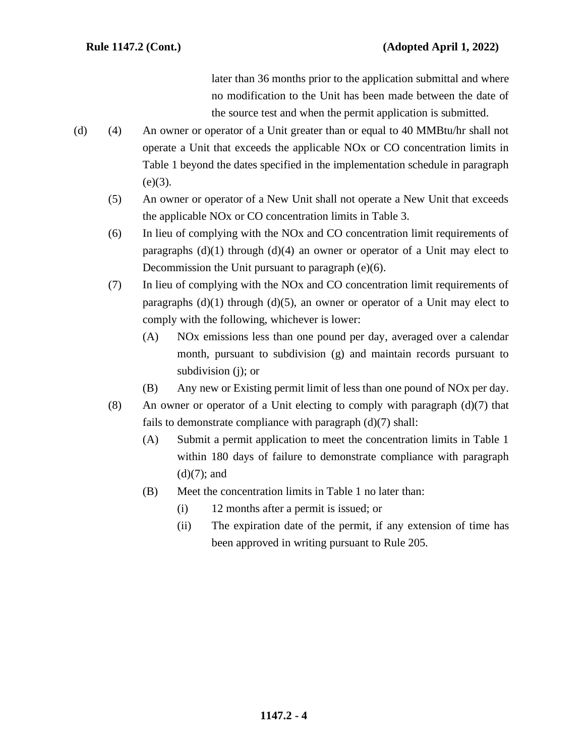later than 36 months prior to the application submittal and where no modification to the Unit has been made between the date of the source test and when the permit application is submitted.

- (d) (4) An owner or operator of a Unit greater than or equal to 40 MMBtu/hr shall not operate a Unit that exceeds the applicable NOx or CO concentration limits in Table 1 beyond the dates specified in the implementation schedule in paragraph  $(e)(3)$ .
	- (5) An owner or operator of a New Unit shall not operate a New Unit that exceeds the applicable NOx or CO concentration limits in Table 3.
	- (6) In lieu of complying with the NOx and CO concentration limit requirements of paragraphs  $(d)(1)$  through  $(d)(4)$  an owner or operator of a Unit may elect to Decommission the Unit pursuant to paragraph (e)(6).
	- (7) In lieu of complying with the NOx and CO concentration limit requirements of paragraphs  $(d)(1)$  through  $(d)(5)$ , an owner or operator of a Unit may elect to comply with the following, whichever is lower:
		- (A) NOx emissions less than one pound per day, averaged over a calendar month, pursuant to subdivision (g) and maintain records pursuant to subdivision (j); or
		- (B) Any new or Existing permit limit of less than one pound of NOx per day.
	- (8) An owner or operator of a Unit electing to comply with paragraph  $(d)(7)$  that fails to demonstrate compliance with paragraph  $(d)(7)$  shall:
		- (A) Submit a permit application to meet the concentration limits in Table 1 within 180 days of failure to demonstrate compliance with paragraph  $(d)(7)$ ; and
		- (B) Meet the concentration limits in Table 1 no later than:
			- (i) 12 months after a permit is issued; or
			- (ii) The expiration date of the permit, if any extension of time has been approved in writing pursuant to Rule 205.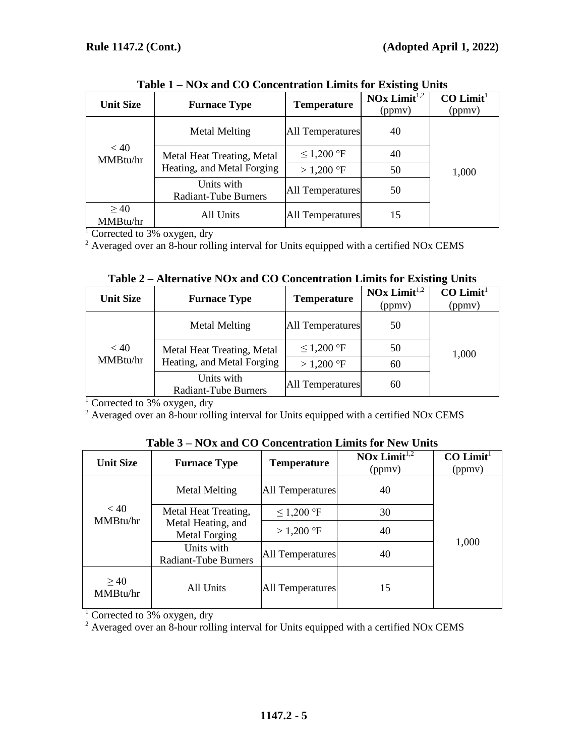| <b>Unit Size</b>      | <b>Furnace Type</b>                                      | <b>Temperature</b>      | NOx Limit $\overline{^{1,2}}$<br>(ppmv) | $CO$ Limit <sup>1</sup><br>(ppmv) |
|-----------------------|----------------------------------------------------------|-------------------------|-----------------------------------------|-----------------------------------|
|                       | Metal Melting                                            | <b>All Temperatures</b> | 40                                      |                                   |
| < 40<br>MMBtu/hr      | Metal Heat Treating, Metal<br>Heating, and Metal Forging | ≤ 1,200 °F              | 40                                      |                                   |
|                       |                                                          | $>1,200$ °F             | 50                                      | 1,000                             |
|                       | Units with<br><b>Radiant-Tube Burners</b>                | <b>All Temperatures</b> | 50                                      |                                   |
| $\geq 40$<br>MMBtu/hr | All Units                                                | <b>All Temperatures</b> | 15                                      |                                   |

**Table 1 – NOx and CO Concentration Limits for Existing Units**

 $\frac{1}{1}$  Corrected to 3% oxygen, dry

<sup>2</sup> Averaged over an 8-hour rolling interval for Units equipped with a certified NOx CEMS

| <b>Unit Size</b> | <b>Furnace Type</b>                | <b>Temperature</b>      | $\textbf{NOx Limit}^{1,2}$<br>(ppmy) | $CO$ Limit <sup>1</sup><br>(ppmy) |
|------------------|------------------------------------|-------------------------|--------------------------------------|-----------------------------------|
|                  | <b>Metal Melting</b>               | <b>All Temperatures</b> | 50                                   |                                   |
| < 40             | Metal Heat Treating, Metal         | $\leq$ 1,200 °F         | 50                                   | 1,000                             |
| MMBtu/hr         | Heating, and Metal Forging         | $>1,200$ °F             | 60                                   |                                   |
|                  | Units with<br>Radiant-Tube Burners | <b>All Temperatures</b> | 60                                   |                                   |

|  | Table 2 – Alternative NOx and CO Concentration Limits for Existing Units |  |
|--|--------------------------------------------------------------------------|--|
|  |                                                                          |  |

 $\frac{1}{1}$  Corrected to 3% oxygen, dry

<sup>2</sup> Averaged over an 8-hour rolling interval for Units equipped with a certified NOx CEMS

| <b>Unit Size</b>                                                                                                                              | <b>Furnace Type</b> | <b>Temperature</b>      | $\textbf{NOx Limit}^{1,2}$<br>(ppmy) | $CO$ Limit <sup>1</sup><br>(ppmy) |
|-----------------------------------------------------------------------------------------------------------------------------------------------|---------------------|-------------------------|--------------------------------------|-----------------------------------|
| Metal Melting<br>< 40<br>Metal Heat Treating,<br>MMBtu/hr<br>Metal Heating, and<br>Metal Forging<br>Units with<br><b>Radiant-Tube Burners</b> |                     | <b>All Temperatures</b> | 40                                   |                                   |
|                                                                                                                                               | ≤ 1,200 °F          | 30                      |                                      |                                   |
|                                                                                                                                               |                     | $>1,200$ °F             | 40                                   |                                   |
|                                                                                                                                               |                     | All Temperatures        | 40                                   | 1,000                             |
| $\geq 40$<br>MMBtu/hr                                                                                                                         | All Units           | All Temperatures        | 15                                   |                                   |

**Table 3 – NOx and CO Concentration Limits for New Units**

<sup>1</sup> Corrected to 3% oxygen, dry

<sup>2</sup> Averaged over an 8-hour rolling interval for Units equipped with a certified NOx CEMS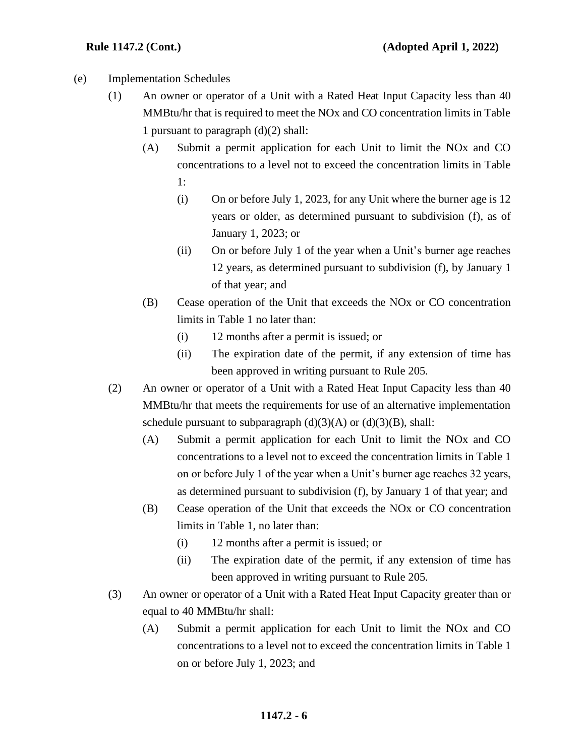- (e) Implementation Schedules
	- (1) An owner or operator of a Unit with a Rated Heat Input Capacity less than 40 MMBtu/hr that is required to meet the NOx and CO concentration limits in Table 1 pursuant to paragraph (d)(2) shall:
		- (A) Submit a permit application for each Unit to limit the NOx and CO concentrations to a level not to exceed the concentration limits in Table 1:
			- (i) On or before July 1, 2023, for any Unit where the burner age is 12 years or older, as determined pursuant to subdivision (f), as of January 1, 2023; or
			- (ii) On or before July 1 of the year when a Unit's burner age reaches 12 years, as determined pursuant to subdivision (f), by January 1 of that year; and
		- (B) Cease operation of the Unit that exceeds the NOx or CO concentration limits in Table 1 no later than:
			- (i) 12 months after a permit is issued; or
			- (ii) The expiration date of the permit, if any extension of time has been approved in writing pursuant to Rule 205.
	- (2) An owner or operator of a Unit with a Rated Heat Input Capacity less than 40 MMBtu/hr that meets the requirements for use of an alternative implementation schedule pursuant to subparagraph  $(d)(3)(A)$  or  $(d)(3)(B)$ , shall:
		- (A) Submit a permit application for each Unit to limit the NOx and CO concentrations to a level not to exceed the concentration limits in Table 1 on or before July 1 of the year when a Unit's burner age reaches 32 years, as determined pursuant to subdivision (f), by January 1 of that year; and
		- (B) Cease operation of the Unit that exceeds the NOx or CO concentration limits in Table 1, no later than:
			- (i) 12 months after a permit is issued; or
			- (ii) The expiration date of the permit, if any extension of time has been approved in writing pursuant to Rule 205.
	- (3) An owner or operator of a Unit with a Rated Heat Input Capacity greater than or equal to 40 MMBtu/hr shall:
		- (A) Submit a permit application for each Unit to limit the NOx and CO concentrations to a level not to exceed the concentration limits in Table 1 on or before July 1, 2023; and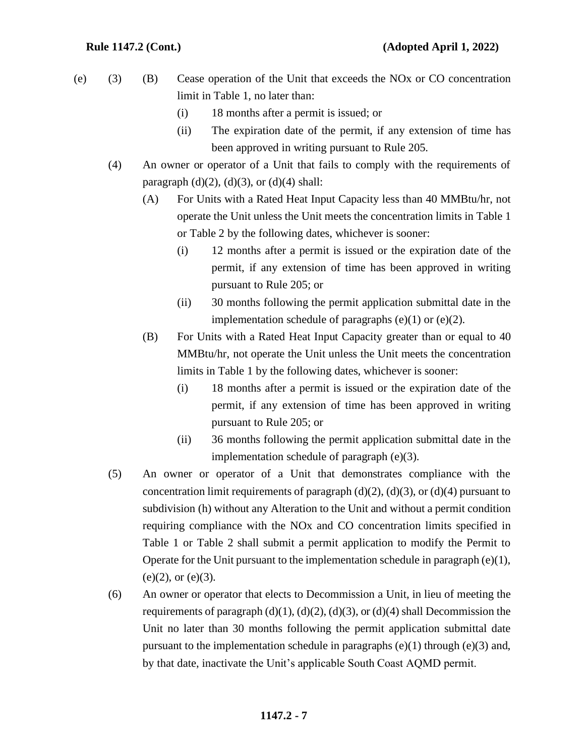- (e) (3) (B) Cease operation of the Unit that exceeds the NOx or CO concentration limit in Table 1, no later than:
	- (i) 18 months after a permit is issued; or
	- (ii) The expiration date of the permit, if any extension of time has been approved in writing pursuant to Rule 205.
	- (4) An owner or operator of a Unit that fails to comply with the requirements of paragraph  $(d)(2)$ ,  $(d)(3)$ , or  $(d)(4)$  shall:
		- (A) For Units with a Rated Heat Input Capacity less than 40 MMBtu/hr, not operate the Unit unless the Unit meets the concentration limits in Table 1 or Table 2 by the following dates, whichever is sooner:
			- (i) 12 months after a permit is issued or the expiration date of the permit, if any extension of time has been approved in writing pursuant to Rule 205; or
			- (ii) 30 months following the permit application submittal date in the implementation schedule of paragraphs  $(e)(1)$  or  $(e)(2)$ .
		- (B) For Units with a Rated Heat Input Capacity greater than or equal to 40 MMBtu/hr, not operate the Unit unless the Unit meets the concentration limits in Table 1 by the following dates, whichever is sooner:
			- (i) 18 months after a permit is issued or the expiration date of the permit, if any extension of time has been approved in writing pursuant to Rule 205; or
			- (ii) 36 months following the permit application submittal date in the implementation schedule of paragraph (e)(3).
	- (5) An owner or operator of a Unit that demonstrates compliance with the concentration limit requirements of paragraph  $(d)(2)$ ,  $(d)(3)$ , or  $(d)(4)$  pursuant to subdivision (h) without any Alteration to the Unit and without a permit condition requiring compliance with the NOx and CO concentration limits specified in Table 1 or Table 2 shall submit a permit application to modify the Permit to Operate for the Unit pursuant to the implementation schedule in paragraph  $(e)(1)$ ,  $(e)(2)$ , or  $(e)(3)$ .
	- (6) An owner or operator that elects to Decommission a Unit, in lieu of meeting the requirements of paragraph (d)(1), (d)(2), (d)(3), or (d)(4) shall Decommission the Unit no later than 30 months following the permit application submittal date pursuant to the implementation schedule in paragraphs  $(e)(1)$  through  $(e)(3)$  and, by that date, inactivate the Unit's applicable South Coast AQMD permit.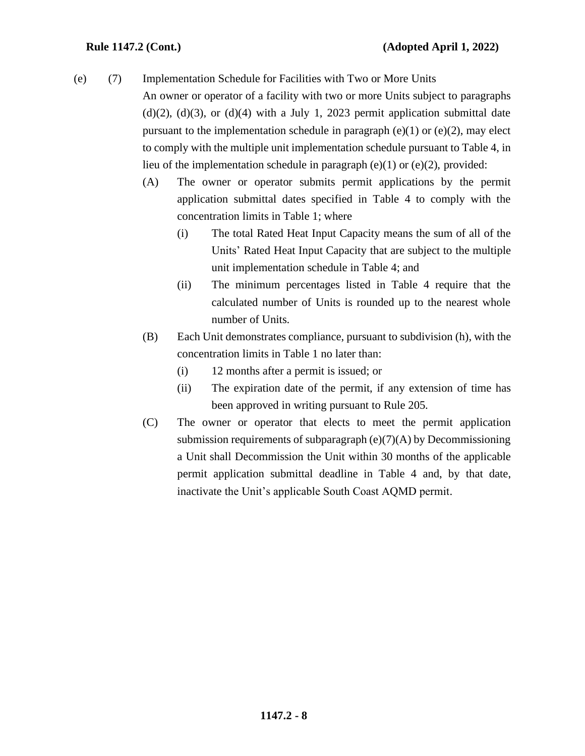(e) (7) Implementation Schedule for Facilities with Two or More Units

An owner or operator of a facility with two or more Units subject to paragraphs  $(d)(2)$ ,  $(d)(3)$ , or  $(d)(4)$  with a July 1, 2023 permit application submittal date pursuant to the implementation schedule in paragraph  $(e)(1)$  or  $(e)(2)$ , may elect to comply with the multiple unit implementation schedule pursuant to Table 4, in lieu of the implementation schedule in paragraph  $(e)(1)$  or  $(e)(2)$ , provided:

- (A) The owner or operator submits permit applications by the permit application submittal dates specified in Table 4 to comply with the concentration limits in Table 1; where
	- (i) The total Rated Heat Input Capacity means the sum of all of the Units' Rated Heat Input Capacity that are subject to the multiple unit implementation schedule in Table 4; and
	- (ii) The minimum percentages listed in Table 4 require that the calculated number of Units is rounded up to the nearest whole number of Units.
- (B) Each Unit demonstrates compliance, pursuant to subdivision (h), with the concentration limits in Table 1 no later than:
	- (i) 12 months after a permit is issued; or
	- (ii) The expiration date of the permit, if any extension of time has been approved in writing pursuant to Rule 205.
- (C) The owner or operator that elects to meet the permit application submission requirements of subparagraph (e)(7)(A) by Decommissioning a Unit shall Decommission the Unit within 30 months of the applicable permit application submittal deadline in Table 4 and, by that date, inactivate the Unit's applicable South Coast AQMD permit.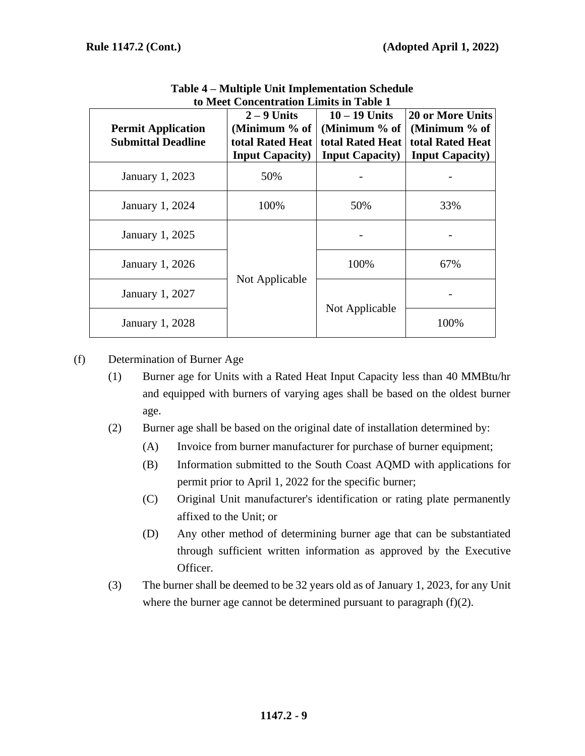| <b>Permit Application</b><br><b>Submittal Deadline</b> | $2 - 9$ Units<br>(Minimum % of<br>total Rated Heat<br><b>Input Capacity)</b> | $10 - 19$ Units<br>(Minimum % of<br>total Rated Heat<br><b>Input Capacity</b> ) | <b>20 or More Units</b><br>(Minimum % of<br>total Rated Heat<br><b>Input Capacity</b> ) |
|--------------------------------------------------------|------------------------------------------------------------------------------|---------------------------------------------------------------------------------|-----------------------------------------------------------------------------------------|
| January 1, 2023                                        | 50%                                                                          |                                                                                 |                                                                                         |
| January 1, 2024                                        | 100%                                                                         | 50%                                                                             | 33%                                                                                     |
| January 1, 2025                                        |                                                                              |                                                                                 |                                                                                         |
| January 1, 2026                                        |                                                                              | 100%                                                                            | 67%                                                                                     |
| January 1, 2027                                        | Not Applicable                                                               | Not Applicable                                                                  |                                                                                         |
| January 1, 2028                                        |                                                                              |                                                                                 | 100%                                                                                    |

**Table 4 – Multiple Unit Implementation Schedule to Meet Concentration Limits in Table 1**

(f) Determination of Burner Age

- (1) Burner age for Units with a Rated Heat Input Capacity less than 40 MMBtu/hr and equipped with burners of varying ages shall be based on the oldest burner age.
- (2) Burner age shall be based on the original date of installation determined by:
	- (A) Invoice from burner manufacturer for purchase of burner equipment;
	- (B) Information submitted to the South Coast AQMD with applications for permit prior to April 1, 2022 for the specific burner;
	- (C) Original Unit manufacturer's identification or rating plate permanently affixed to the Unit; or
	- (D) Any other method of determining burner age that can be substantiated through sufficient written information as approved by the Executive Officer.
- (3) The burner shall be deemed to be 32 years old as of January 1, 2023, for any Unit where the burner age cannot be determined pursuant to paragraph (f)(2).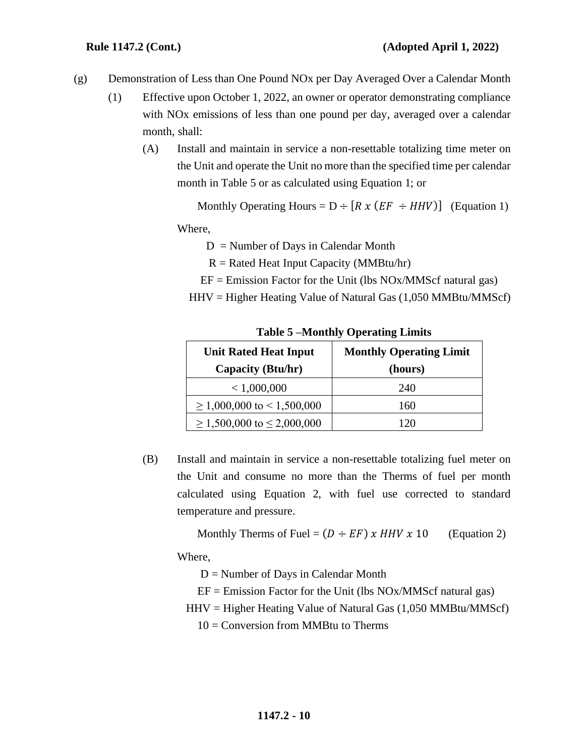- (g) Demonstration of Less than One Pound NOx per Day Averaged Over a Calendar Month
	- (1) Effective upon October 1, 2022, an owner or operator demonstrating compliance with NOx emissions of less than one pound per day, averaged over a calendar month, shall:
		- (A) Install and maintain in service a non-resettable totalizing time meter on the Unit and operate the Unit no more than the specified time per calendar month in Table 5 or as calculated using Equation 1; or

Monthly Operating Hours =  $D \div [R x (EF \div HHV)]$  (Equation 1)

Where,

- $D =$  Number of Days in Calendar Month
- $R =$  Rated Heat Input Capacity (MMBtu/hr)
- $EF = Emission Factor for the Unit (lbs NOx/MMScf natural gas)$
- $HHV = Higher Heating Value of Natural Gas (1,050 MMBtu/MMScf)$

| <b>Unit Rated Heat Input</b><br>Capacity (Btu/hr) | <b>Monthly Operating Limit</b><br>(hours) |
|---------------------------------------------------|-------------------------------------------|
| < 1,000,000                                       | 240                                       |
| $\geq 1,000,000$ to $\leq 1,500,000$              | 160                                       |
| $\geq 1,500,000$ to $\leq 2,000,000$              | 20                                        |

**Table 5 –Monthly Operating Limits**

(B) Install and maintain in service a non-resettable totalizing fuel meter on the Unit and consume no more than the Therms of fuel per month calculated using Equation 2, with fuel use corrected to standard temperature and pressure.

Monthly Therms of Fuel =  $(D \div EF)$  x HHV x 10 (Equation 2)

Where,

 $D =$  Number of Days in Calendar Month

 $EF = Emission Factor for the Unit (lbs NOx/MMScf natural gas)$ 

HHV = Higher Heating Value of Natural Gas (1,050 MMBtu/MMScf)

 $10 =$  Conversion from MMBtu to Therms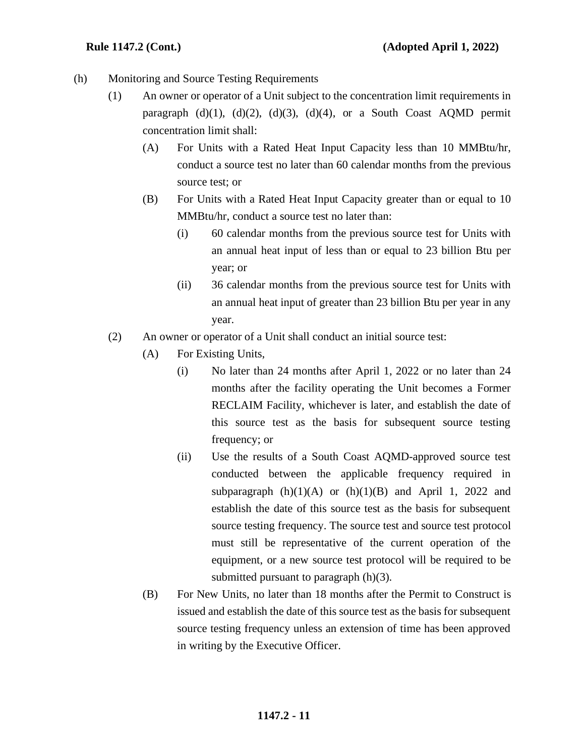- (h) Monitoring and Source Testing Requirements
	- (1) An owner or operator of a Unit subject to the concentration limit requirements in paragraph  $(d)(1)$ ,  $(d)(2)$ ,  $(d)(3)$ ,  $(d)(4)$ , or a South Coast AQMD permit concentration limit shall:
		- (A) For Units with a Rated Heat Input Capacity less than 10 MMBtu/hr, conduct a source test no later than 60 calendar months from the previous source test; or
		- (B) For Units with a Rated Heat Input Capacity greater than or equal to 10 MMBtu/hr, conduct a source test no later than:
			- (i) 60 calendar months from the previous source test for Units with an annual heat input of less than or equal to 23 billion Btu per year; or
			- (ii) 36 calendar months from the previous source test for Units with an annual heat input of greater than 23 billion Btu per year in any year.
	- (2) An owner or operator of a Unit shall conduct an initial source test:
		- (A) For Existing Units,
			- (i) No later than 24 months after April 1, 2022 or no later than 24 months after the facility operating the Unit becomes a Former RECLAIM Facility, whichever is later, and establish the date of this source test as the basis for subsequent source testing frequency; or
			- (ii) Use the results of a South Coast AQMD-approved source test conducted between the applicable frequency required in subparagraph  $(h)(1)(A)$  or  $(h)(1)(B)$  and April 1, 2022 and establish the date of this source test as the basis for subsequent source testing frequency. The source test and source test protocol must still be representative of the current operation of the equipment, or a new source test protocol will be required to be submitted pursuant to paragraph (h)(3).
		- (B) For New Units, no later than 18 months after the Permit to Construct is issued and establish the date of this source test as the basis for subsequent source testing frequency unless an extension of time has been approved in writing by the Executive Officer.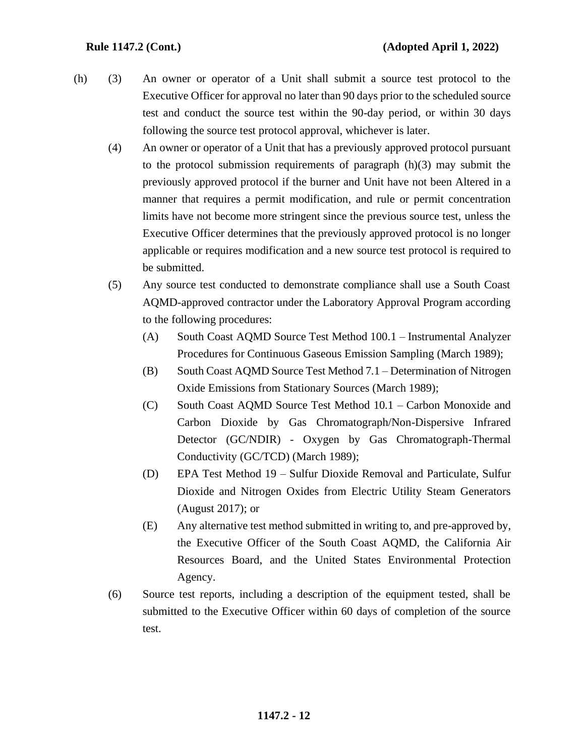- (h) (3) An owner or operator of a Unit shall submit a source test protocol to the Executive Officer for approval no later than 90 days prior to the scheduled source test and conduct the source test within the 90-day period, or within 30 days following the source test protocol approval, whichever is later.
	- (4) An owner or operator of a Unit that has a previously approved protocol pursuant to the protocol submission requirements of paragraph (h)(3) may submit the previously approved protocol if the burner and Unit have not been Altered in a manner that requires a permit modification, and rule or permit concentration limits have not become more stringent since the previous source test, unless the Executive Officer determines that the previously approved protocol is no longer applicable or requires modification and a new source test protocol is required to be submitted.
	- (5) Any source test conducted to demonstrate compliance shall use a South Coast AQMD-approved contractor under the Laboratory Approval Program according to the following procedures:
		- (A) South Coast AQMD Source Test Method 100.1 Instrumental Analyzer Procedures for Continuous Gaseous Emission Sampling (March 1989);
		- (B) South Coast AQMD Source Test Method 7.1 Determination of Nitrogen Oxide Emissions from Stationary Sources (March 1989);
		- (C) South Coast AQMD Source Test Method 10.1 Carbon Monoxide and Carbon Dioxide by Gas Chromatograph/Non-Dispersive Infrared Detector (GC/NDIR) - Oxygen by Gas Chromatograph-Thermal Conductivity (GC/TCD) (March 1989);
		- (D) EPA Test Method 19 Sulfur Dioxide Removal and Particulate, Sulfur Dioxide and Nitrogen Oxides from Electric Utility Steam Generators (August 2017); or
		- (E) Any alternative test method submitted in writing to, and pre-approved by, the Executive Officer of the South Coast AQMD, the California Air Resources Board, and the United States Environmental Protection Agency.
	- (6) Source test reports, including a description of the equipment tested, shall be submitted to the Executive Officer within 60 days of completion of the source test.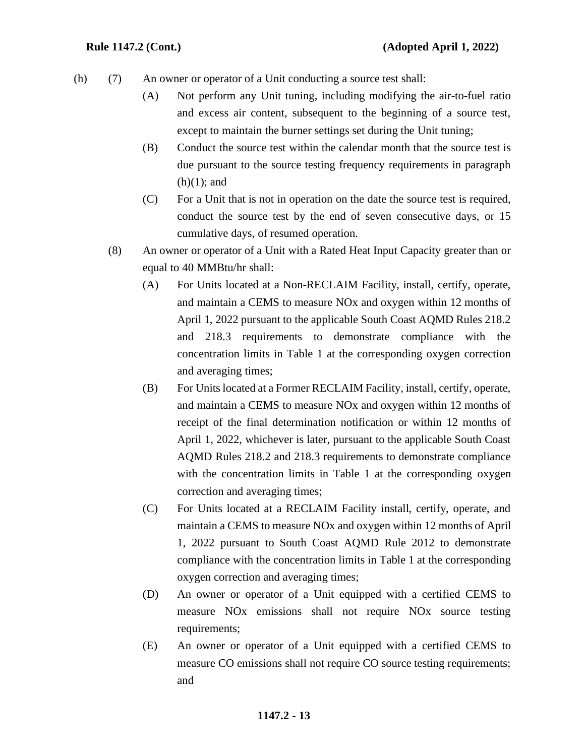- (h) (7) An owner or operator of a Unit conducting a source test shall:
	- (A) Not perform any Unit tuning, including modifying the air-to-fuel ratio and excess air content, subsequent to the beginning of a source test, except to maintain the burner settings set during the Unit tuning;
	- (B) Conduct the source test within the calendar month that the source test is due pursuant to the source testing frequency requirements in paragraph  $(h)(1)$ ; and
	- (C) For a Unit that is not in operation on the date the source test is required, conduct the source test by the end of seven consecutive days, or 15 cumulative days, of resumed operation.
	- (8) An owner or operator of a Unit with a Rated Heat Input Capacity greater than or equal to 40 MMBtu/hr shall:
		- (A) For Units located at a Non-RECLAIM Facility, install, certify, operate, and maintain a CEMS to measure NOx and oxygen within 12 months of April 1, 2022 pursuant to the applicable South Coast AQMD Rules 218.2 and 218.3 requirements to demonstrate compliance with the concentration limits in Table 1 at the corresponding oxygen correction and averaging times;
		- (B) For Units located at a Former RECLAIM Facility, install, certify, operate, and maintain a CEMS to measure NOx and oxygen within 12 months of receipt of the final determination notification or within 12 months of April 1, 2022, whichever is later, pursuant to the applicable South Coast AQMD Rules 218.2 and 218.3 requirements to demonstrate compliance with the concentration limits in Table 1 at the corresponding oxygen correction and averaging times;
		- (C) For Units located at a RECLAIM Facility install, certify, operate, and maintain a CEMS to measure NOx and oxygen within 12 months of April 1, 2022 pursuant to South Coast AQMD Rule 2012 to demonstrate compliance with the concentration limits in Table 1 at the corresponding oxygen correction and averaging times;
		- (D) An owner or operator of a Unit equipped with a certified CEMS to measure NOx emissions shall not require NOx source testing requirements;
		- (E) An owner or operator of a Unit equipped with a certified CEMS to measure CO emissions shall not require CO source testing requirements; and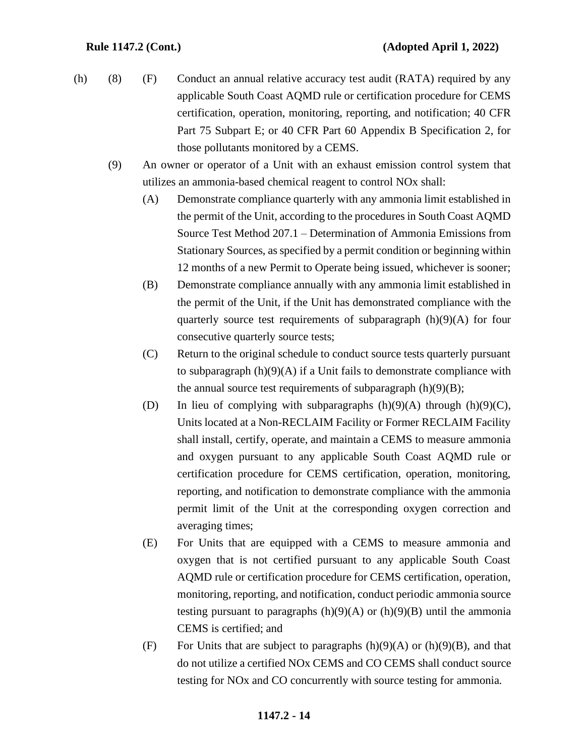- (h) (8) (F) Conduct an annual relative accuracy test audit (RATA) required by any applicable South Coast AQMD rule or certification procedure for CEMS certification, operation, monitoring, reporting, and notification; 40 CFR Part 75 Subpart E; or 40 CFR Part 60 Appendix B Specification 2, for those pollutants monitored by a CEMS.
	- (9) An owner or operator of a Unit with an exhaust emission control system that utilizes an ammonia-based chemical reagent to control NOx shall:
		- (A) Demonstrate compliance quarterly with any ammonia limit established in the permit of the Unit, according to the procedures in South Coast AQMD Source Test Method 207.1 – Determination of Ammonia Emissions from Stationary Sources, as specified by a permit condition or beginning within 12 months of a new Permit to Operate being issued, whichever is sooner;
		- (B) Demonstrate compliance annually with any ammonia limit established in the permit of the Unit, if the Unit has demonstrated compliance with the quarterly source test requirements of subparagraph  $(h)(9)(A)$  for four consecutive quarterly source tests;
		- (C) Return to the original schedule to conduct source tests quarterly pursuant to subparagraph  $(h)(9)(A)$  if a Unit fails to demonstrate compliance with the annual source test requirements of subparagraph  $(h)(9)(B)$ ;
		- (D) In lieu of complying with subparagraphs  $(h)(9)(A)$  through  $(h)(9)(C)$ , Units located at a Non-RECLAIM Facility or Former RECLAIM Facility shall install, certify, operate, and maintain a CEMS to measure ammonia and oxygen pursuant to any applicable South Coast AQMD rule or certification procedure for CEMS certification, operation, monitoring, reporting, and notification to demonstrate compliance with the ammonia permit limit of the Unit at the corresponding oxygen correction and averaging times;
		- (E) For Units that are equipped with a CEMS to measure ammonia and oxygen that is not certified pursuant to any applicable South Coast AQMD rule or certification procedure for CEMS certification, operation, monitoring, reporting, and notification, conduct periodic ammonia source testing pursuant to paragraphs  $(h)(9)(A)$  or  $(h)(9)(B)$  until the ammonia CEMS is certified; and
		- (F) For Units that are subject to paragraphs  $(h)(9)(A)$  or  $(h)(9)(B)$ , and that do not utilize a certified NOx CEMS and CO CEMS shall conduct source testing for NOx and CO concurrently with source testing for ammonia.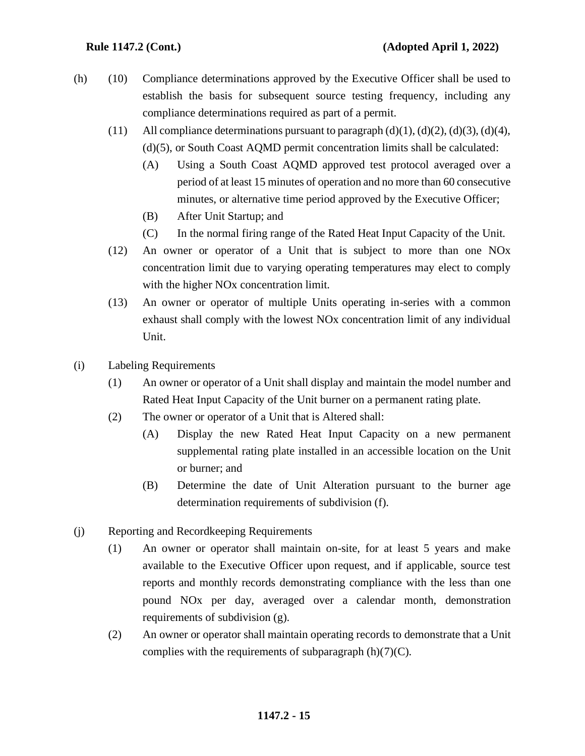- (h) (10) Compliance determinations approved by the Executive Officer shall be used to establish the basis for subsequent source testing frequency, including any compliance determinations required as part of a permit.
	- (11) All compliance determinations pursuant to paragraph  $(d)(1)$ ,  $(d)(2)$ ,  $(d)(3)$ ,  $(d)(4)$ , (d)(5), or South Coast AQMD permit concentration limits shall be calculated:
		- (A) Using a South Coast AQMD approved test protocol averaged over a period of at least 15 minutes of operation and no more than 60 consecutive minutes, or alternative time period approved by the Executive Officer;
		- (B) After Unit Startup; and
		- (C) In the normal firing range of the Rated Heat Input Capacity of the Unit.
	- (12) An owner or operator of a Unit that is subject to more than one NOx concentration limit due to varying operating temperatures may elect to comply with the higher NOx concentration limit.
	- (13) An owner or operator of multiple Units operating in-series with a common exhaust shall comply with the lowest NOx concentration limit of any individual Unit.
- (i) Labeling Requirements
	- (1) An owner or operator of a Unit shall display and maintain the model number and Rated Heat Input Capacity of the Unit burner on a permanent rating plate.
	- (2) The owner or operator of a Unit that is Altered shall:
		- (A) Display the new Rated Heat Input Capacity on a new permanent supplemental rating plate installed in an accessible location on the Unit or burner; and
		- (B) Determine the date of Unit Alteration pursuant to the burner age determination requirements of subdivision (f).
- (j) Reporting and Recordkeeping Requirements
	- (1) An owner or operator shall maintain on-site, for at least 5 years and make available to the Executive Officer upon request, and if applicable, source test reports and monthly records demonstrating compliance with the less than one pound NOx per day, averaged over a calendar month, demonstration requirements of subdivision (g).
	- (2) An owner or operator shall maintain operating records to demonstrate that a Unit complies with the requirements of subparagraph  $(h)(7)(C)$ .